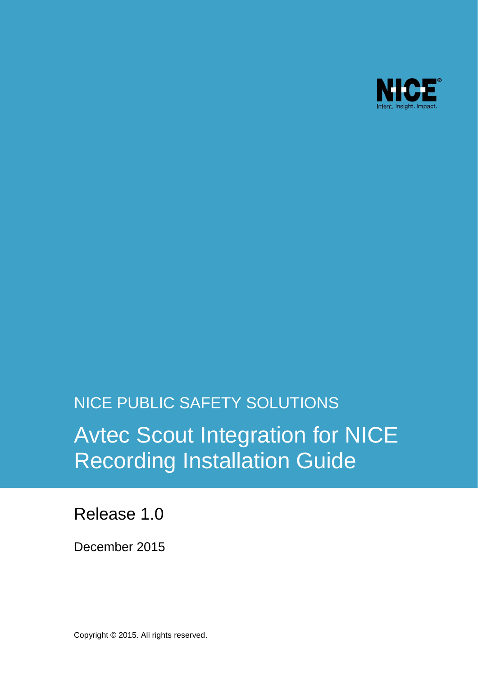

# NICE PUBLIC SAFETY SOLUTIONS Avtec Scout Integration for NICE Recording Installation Guide

Release 1.0

December 2015

Copyright © 2015. All rights reserved.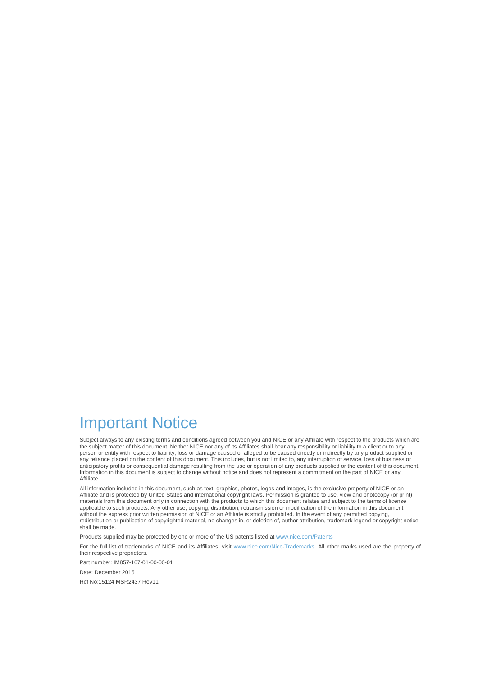## Important Notice

Subject always to any existing terms and conditions agreed between you and NICE or any Affiliate with respect to the products which are the subject matter of this document. Neither NICE nor any of its Affiliates shall bear any responsibility or liability to a client or to any person or entity with respect to liability, loss or damage caused or alleged to be caused directly or indirectly by any product supplied or any reliance placed on the content of this document. This includes, but is not limited to, any interruption of service, loss of business or anticipatory profits or consequential damage resulting from the use or operation of any products supplied or the content of this document. Information in this document is subject to change without notice and does not represent a commitment on the part of NICE or any **Affiliate** 

All information included in this document, such as text, graphics, photos, logos and images, is the exclusive property of NICE or an Affiliate and is protected by United States and international copyright laws. Permission is granted to use, view and photocopy (or print) materials from this document only in connection with the products to which this document relates and subject to the terms of license applicable to such products. Any other use, copying, distribution, retransmission or modification of the information in this document without the express prior written permission of NICE or an Affiliate is strictly prohibited. In the event of any permitted copying, redistribution or publication of copyrighted material, no changes in, or deletion of, author attribution, trademark legend or copyright notice shall be made

Products supplied may be protected by one or more of the US patents listed a[t www.nice.com/Patents](http://www.nice.com/Patents)

For the full list of trademarks of NICE and its Affiliates, visit [www.nice.com/Nice-Trademarks.](http://www.nice.com/Nice-Trademarks) All other marks used are the property of their respective proprietors.

Part number: IM857-107-01-00-00-01

Date: December 2015

Ref No:15124 MSR2437 Rev11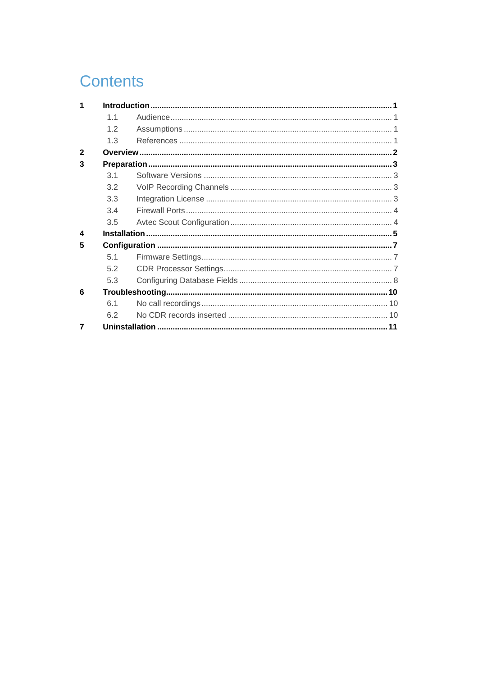## **Contents**

| 1                      |     |  |
|------------------------|-----|--|
|                        | 11  |  |
|                        | 12  |  |
|                        | 1.3 |  |
| $\mathbf{2}$           |     |  |
| 3                      |     |  |
|                        | 3.1 |  |
|                        | 3.2 |  |
|                        | 3.3 |  |
|                        | 3.4 |  |
|                        | 3.5 |  |
| $\boldsymbol{\Lambda}$ |     |  |
| 5                      |     |  |
|                        | 51  |  |
|                        | 52  |  |
|                        | 5.3 |  |
| 6                      |     |  |
|                        | 61  |  |
|                        | 62  |  |
|                        |     |  |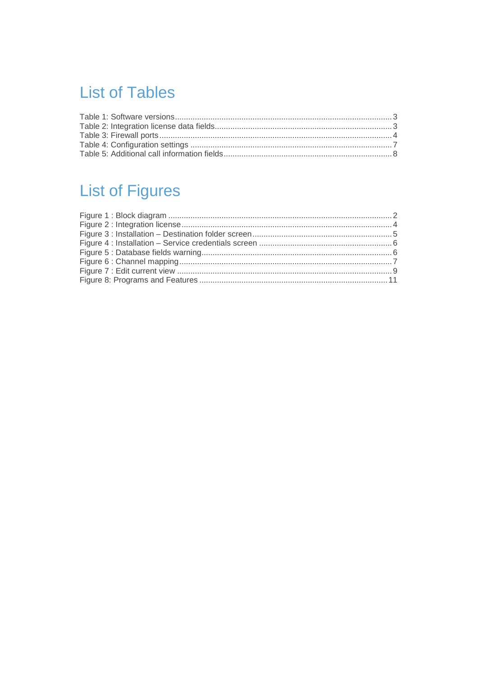## **List of Tables**

## **List of Figures**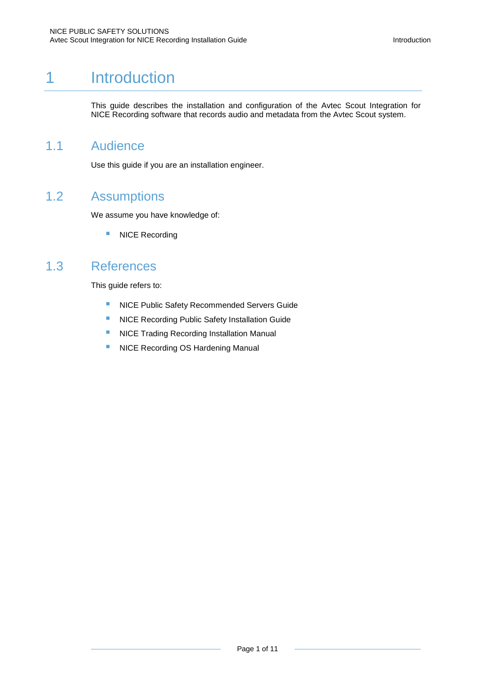## 1 Introduction

<span id="page-4-1"></span><span id="page-4-0"></span>This guide describes the installation and configuration of the Avtec Scout Integration for NICE Recording software that records audio and metadata from the Avtec Scout system.

#### 1.1 Audience

<span id="page-4-2"></span>Use this guide if you are an installation engineer.

### 1.2 Assumptions

We assume you have knowledge of:

<span id="page-4-3"></span>**NICE Recording** 

### 1.3 References

This guide refers to:

- **NICE Public Safety Recommended Servers Guide**
- **NICE Recording Public Safety Installation Guide**
- **NICE Trading Recording Installation Manual**
- **NICE Recording OS Hardening Manual**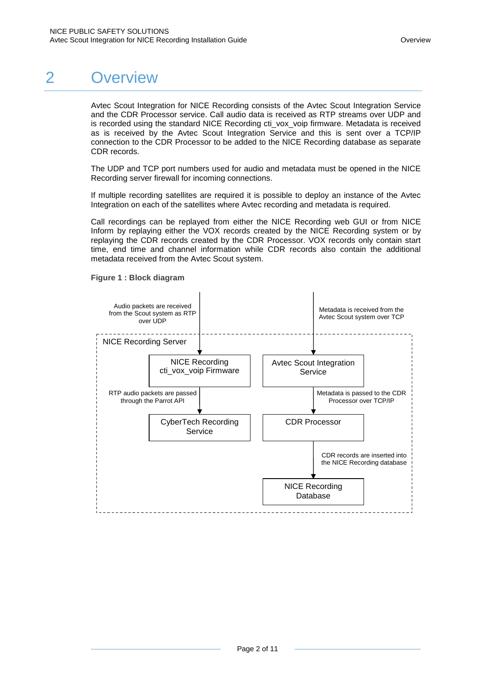## 2 Overview

<span id="page-5-0"></span>Avtec Scout Integration for NICE Recording consists of the Avtec Scout Integration Service and the CDR Processor service. Call audio data is received as RTP streams over UDP and is recorded using the standard NICE Recording cti\_vox\_voip firmware. Metadata is received as is received by the Avtec Scout Integration Service and this is sent over a TCP/IP connection to the CDR Processor to be added to the NICE Recording database as separate CDR records.

The UDP and TCP port numbers used for audio and metadata must be opened in the NICE Recording server firewall for incoming connections.

If multiple recording satellites are required it is possible to deploy an instance of the Avtec Integration on each of the satellites where Avtec recording and metadata is required.

Call recordings can be replayed from either the NICE Recording web GUI or from NICE Inform by replaying either the VOX records created by the NICE Recording system or by replaying the CDR records created by the CDR Processor. VOX records only contain start time, end time and channel information while CDR records also contain the additional metadata received from the Avtec Scout system.



<span id="page-5-1"></span>**Figure 1 : Block diagram**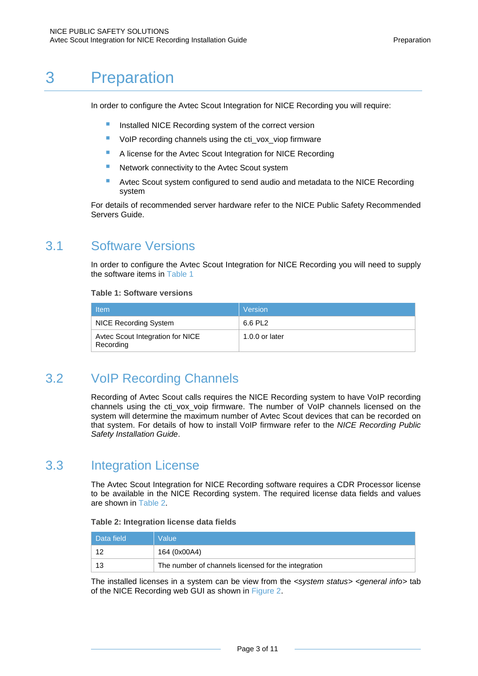## 3 Preparation

<span id="page-6-0"></span>In order to configure the Avtec Scout Integration for NICE Recording you will require:

- Installed NICE Recording system of the correct version
- VoIP recording channels using the cti vox viop firmware
- **A license for the Avtec Scout Integration for NICE Recording**
- Network connectivity to the Avtec Scout system
- **Avtec Scout system configured to send audio and metadata to the NICE Recording** system

<span id="page-6-1"></span>For details of recommended server hardware refer to the NICE Public Safety Recommended Servers Guide.

### 3.1 Software Versions

In order to configure the Avtec Scout Integration for NICE Recording you will need to supply the software items in [Table 1](#page-6-4)

#### <span id="page-6-4"></span>**Table 1: Software versions**

| <b>Item</b>                                   | Version        |
|-----------------------------------------------|----------------|
| NICE Recording System                         | 6.6 PL2        |
| Avtec Scout Integration for NICE<br>Recording | 1.0.0 or later |

### 3.2 VoIP Recording Channels

<span id="page-6-2"></span>Recording of Avtec Scout calls requires the NICE Recording system to have VoIP recording channels using the cti\_vox\_voip firmware. The number of VoIP channels licensed on the system will determine the maximum number of Avtec Scout devices that can be recorded on that system. For details of how to install VoIP firmware refer to the *NICE Recording Public Safety Installation Guide*.

### 3.3 Integration License

<span id="page-6-3"></span>The Avtec Scout Integration for NICE Recording software requires a CDR Processor license to be available in the NICE Recording system. The required license data fields and values are shown in [Table 2.](#page-6-5)

#### <span id="page-6-5"></span>**Table 2: Integration license data fields**

| Data field | Value                                               |
|------------|-----------------------------------------------------|
| 12         | 164 (0x00A4)                                        |
| 13         | The number of channels licensed for the integration |

The installed licenses in a system can be view from the *<system status> <general info>* tab of the NICE Recording web GUI as shown in [Figure 2.](#page-7-3)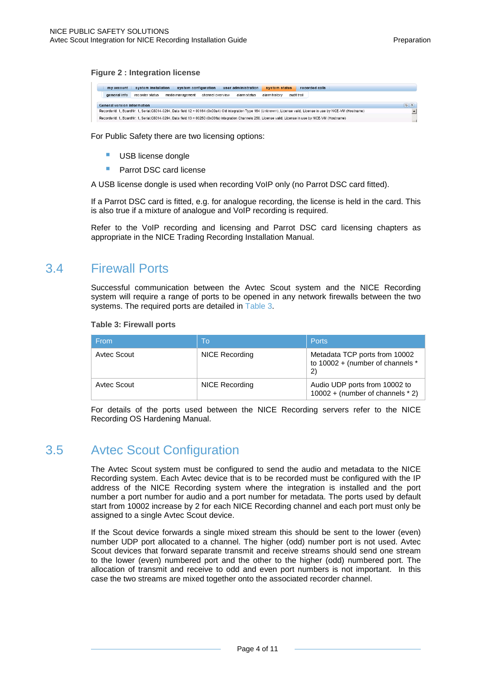#### <span id="page-7-3"></span>**Figure 2 : Integration license**

| my account                                                                                                                                                           | system installation | system configuration |                  | user administration | system status |             | recorded calls |  |
|----------------------------------------------------------------------------------------------------------------------------------------------------------------------|---------------------|----------------------|------------------|---------------------|---------------|-------------|----------------|--|
| general info                                                                                                                                                         | recorder status     | media management     | channel overview | alarm status        | alarm history | audit trail |                |  |
| (3)(2)<br>General version information                                                                                                                                |                     |                      |                  |                     |               |             |                |  |
| RecorderId: 1, BoardNr; 1, Serial:C8014-0294, Data field 12 = 00164 (0x00a4) Old Integration Type 164 (Unknown), License valid, License in use by NICE-VM (Hostname) |                     |                      |                  |                     |               |             |                |  |
| RecorderId: 1, BoardNr: 1, Serial:C8014-0294, Data field 13 = 00250 (0x00fa) Integration Channels 250, License valid, License in use by NICE-VM (Hostname)           |                     |                      |                  |                     |               |             |                |  |

For Public Safety there are two licensing options:

- USB license dongle
- Parrot DSC card license

A USB license dongle is used when recording VoIP only (no Parrot DSC card fitted).

If a Parrot DSC card is fitted, e.g. for analogue recording, the license is held in the card. This is also true if a mixture of analogue and VoIP recording is required.

<span id="page-7-0"></span>Refer to the VoIP recording and licensing and Parrot DSC card licensing chapters as appropriate in the NICE Trading Recording Installation Manual.

### 3.4 Firewall Ports

Successful communication between the Avtec Scout system and the NICE Recording system will require a range of ports to be opened in any network firewalls between the two systems. The required ports are detailed in [Table 3.](#page-7-2)

| <b>From</b> | Tο             | <b>Ports</b>                                                                      |
|-------------|----------------|-----------------------------------------------------------------------------------|
| Avtec Scout | NICE Recording | Metadata TCP ports from 10002<br>to 10002 + (number of channels *<br>$\mathbf{2}$ |
| Avtec Scout | NICE Recording | Audio UDP ports from 10002 to<br>$10002 + (number of channels * 2)$               |

#### <span id="page-7-2"></span>**Table 3: Firewall ports**

<span id="page-7-1"></span>For details of the ports used between the NICE Recording servers refer to the NICE Recording OS Hardening Manual.

### 3.5 Avtec Scout Configuration

The Avtec Scout system must be configured to send the audio and metadata to the NICE Recording system. Each Avtec device that is to be recorded must be configured with the IP address of the NICE Recording system where the integration is installed and the port number a port number for audio and a port number for metadata. The ports used by default start from 10002 increase by 2 for each NICE Recording channel and each port must only be assigned to a single Avtec Scout device.

If the Scout device forwards a single mixed stream this should be sent to the lower (even) number UDP port allocated to a channel. The higher (odd) number port is not used. Avtec Scout devices that forward separate transmit and receive streams should send one stream to the lower (even) numbered port and the other to the higher (odd) numbered port. The allocation of transmit and receive to odd and even port numbers is not important. In this case the two streams are mixed together onto the associated recorder channel.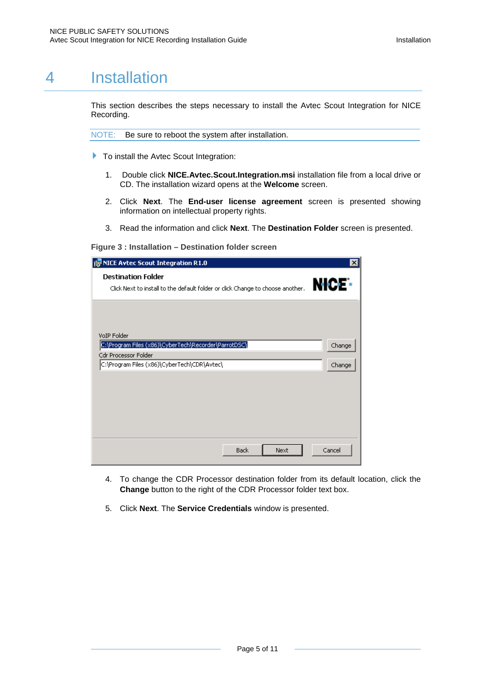## 4 Installation

<span id="page-8-0"></span>This section describes the steps necessary to install the Avtec Scout Integration for NICE Recording.

NOTE: Be sure to reboot the system after installation.

- To install the Avtec Scout Integration:
	- 1. Double click **NICE.Avtec.Scout.Integration.msi** installation file from a local drive or CD. The installation wizard opens at the **Welcome** screen.
	- 2. Click **Next**. The **End-user license agreement** screen is presented showing information on intellectual property rights.
	- 3. Read the information and click **Next**. The **Destination Folder** screen is presented.

<span id="page-8-1"></span>**Figure 3 : Installation – Destination folder screen**

| NICE Avtec Scout Integration R1.0<br>ı۴                                                                     | $\vert x \vert$   |
|-------------------------------------------------------------------------------------------------------------|-------------------|
| <b>Destination Folder</b><br>Click Next to install to the default folder or click Change to choose another. | NICE <sup>.</sup> |
|                                                                                                             |                   |
| VoIP Folder<br>C:\Program Files (x86)\CyberTech\Recorder\ParrotDSC\                                         | Change            |
| <b>Cdr Processor Folder</b>                                                                                 |                   |
| C:\Program Files (x86)\CyberTech\CDR\Avtec\                                                                 | Change            |
|                                                                                                             |                   |
|                                                                                                             |                   |
|                                                                                                             |                   |
|                                                                                                             |                   |
|                                                                                                             |                   |
|                                                                                                             |                   |
| <b>Back</b><br>Next                                                                                         | Cancel            |

- 4. To change the CDR Processor destination folder from its default location, click the **Change** button to the right of the CDR Processor folder text box.
- 5. Click **Next**. The **Service Credentials** window is presented.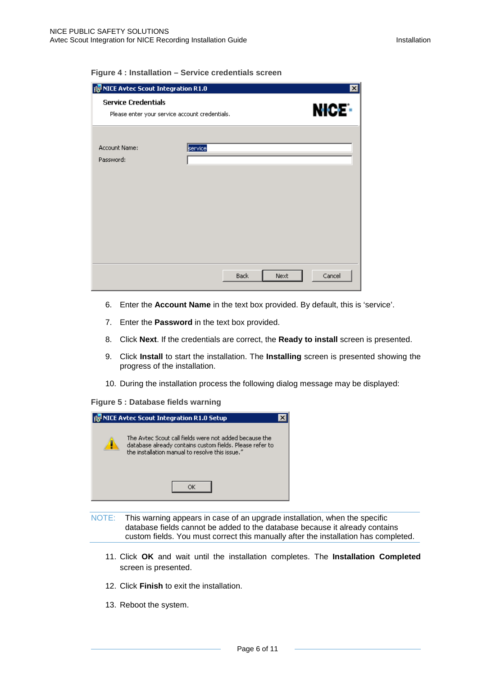<span id="page-9-0"></span>

| Figure 4 : Installation - Service credentials screen |  |
|------------------------------------------------------|--|
|------------------------------------------------------|--|

| is NICE Avtec Scout Integration R1.0<br>$\vert x \vert$ |                                                |                   |  |  |
|---------------------------------------------------------|------------------------------------------------|-------------------|--|--|
| <b>Service Credentials</b>                              | Please enter your service account credentials. | NICE <sup>:</sup> |  |  |
| Account Name:<br>Password:                              | service                                        |                   |  |  |
|                                                         | <b>Back</b>                                    | Cancel<br>Next    |  |  |

- 6. Enter the **Account Name** in the text box provided. By default, this is 'service'.
- 7. Enter the **Password** in the text box provided.
- 8. Click **Next**. If the credentials are correct, the **Ready to install** screen is presented.
- 9. Click **Install** to start the installation. The **Installing** screen is presented showing the progress of the installation.
- 10. During the installation process the following dialog message may be displayed:
- <span id="page-9-1"></span>**Figure 5 : Database fields warning**



- NOTE: This warning appears in case of an upgrade installation, when the specific database fields cannot be added to the database because it already contains custom fields. You must correct this manually after the installation has completed.
	- 11. Click **OK** and wait until the installation completes. The **Installation Completed** screen is presented.
	- 12. Click **Finish** to exit the installation.
	- 13. Reboot the system.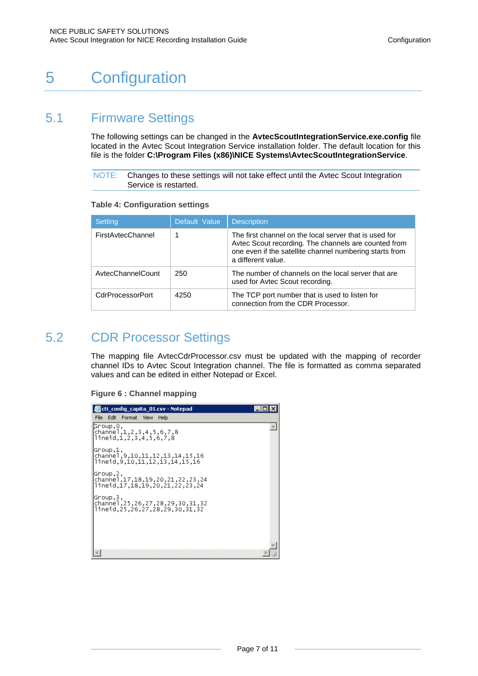## <span id="page-10-0"></span>5 Configuration

### 5.1 Firmware Settings

<span id="page-10-1"></span>The following settings can be changed in the **AvtecScoutIntegrationService.exe.config** file located in the Avtec Scout Integration Service installation folder. The default location for this file is the folder **C:\Program Files (x86)\NICE Systems\AvtecScoutIntegrationService**.

NOTE: Changes to these settings will not take effect until the Avtec Scout Integration Service is restarted.

<span id="page-10-3"></span>

|  | <b>Table 4: Configuration settings</b> |  |
|--|----------------------------------------|--|
|--|----------------------------------------|--|

| <b>Setting</b>    | Default Value | <b>Description</b>                                                                                                                                                                              |
|-------------------|---------------|-------------------------------------------------------------------------------------------------------------------------------------------------------------------------------------------------|
| FirstAvtecChannel |               | The first channel on the local server that is used for<br>Avtec Scout recording. The channels are counted from<br>one even if the satellite channel numbering starts from<br>a different value. |
| AvtecChannelCount | 250           | The number of channels on the local server that are<br>used for Avtec Scout recording.                                                                                                          |
| CdrProcessorPort  | 4250          | The TCP port number that is used to listen for<br>connection from the CDR Processor.                                                                                                            |

## 5.2 CDR Processor Settings

<span id="page-10-2"></span>The mapping file AvtecCdrProcessor.csv must be updated with the mapping of recorder channel IDs to Avtec Scout Integration channel. The file is formatted as comma separated values and can be edited in either Notepad or Excel.

<span id="page-10-4"></span>**Figure 6 : Channel mapping**

| cti_config_capita_01.csv - Notepad                                                                         |  |
|------------------------------------------------------------------------------------------------------------|--|
| File Edit<br>Format View<br>Help                                                                           |  |
| ¦Group,0,<br>channel,1,2,3,4,5,6,7,8 <br>llineid.1.2.3.4.5.6.7.8                                           |  |
| ,1,pGroup<br>16, 15, 14, 13, 12, 12, 11, 10, 19, channel<br>16.15,16.11,12,13,14,15,16.li                  |  |
| Group,2,<br>channel.17.18.19.20.21.22.23.24<br>24,22,22,22,22,21,17,18,19,20,21,22,22,                     |  |
| Group,3,<br>32, 31, 32, 25, 26, 27, 28, 29, 30, channel, 25, 26, 27, 28<br>llineid.25.26.27.28.29.30.31.32 |  |
|                                                                                                            |  |
|                                                                                                            |  |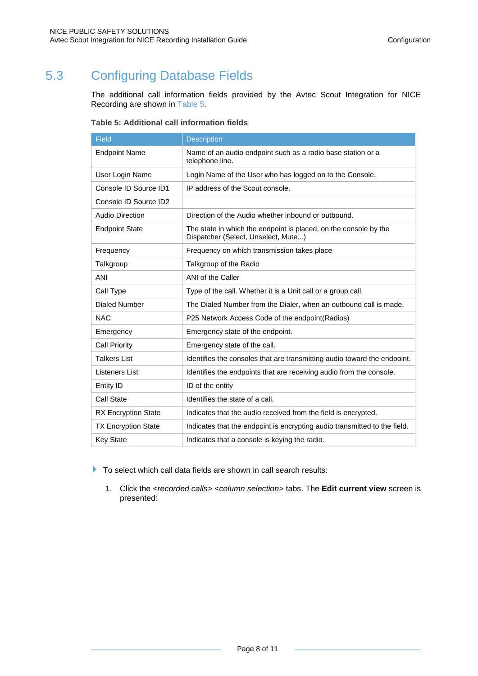## 5.3 Configuring Database Fields

<span id="page-11-0"></span>The additional call information fields provided by the Avtec Scout Integration for NICE Recording are shown in [Table 5.](#page-11-1)

| <b>Field</b>               | <b>Description</b>                                                                                      |
|----------------------------|---------------------------------------------------------------------------------------------------------|
| <b>Endpoint Name</b>       | Name of an audio endpoint such as a radio base station or a<br>telephone line.                          |
| User Login Name            | Login Name of the User who has logged on to the Console.                                                |
| Console ID Source ID1      | IP address of the Scout console.                                                                        |
| Console ID Source ID2      |                                                                                                         |
| Audio Direction            | Direction of the Audio whether inbound or outbound.                                                     |
| <b>Endpoint State</b>      | The state in which the endpoint is placed, on the console by the<br>Dispatcher (Select, Unselect, Mute) |
| Frequency                  | Frequency on which transmission takes place                                                             |
| Talkgroup                  | Talkgroup of the Radio                                                                                  |
| ANI                        | ANI of the Caller                                                                                       |
| Call Type                  | Type of the call. Whether it is a Unit call or a group call.                                            |
| Dialed Number              | The Dialed Number from the Dialer, when an outbound call is made.                                       |
| <b>NAC</b>                 | P25 Network Access Code of the endpoint(Radios)                                                         |
| Emergency                  | Emergency state of the endpoint.                                                                        |
| <b>Call Priority</b>       | Emergency state of the call.                                                                            |
| <b>Talkers List</b>        | Identifies the consoles that are transmitting audio toward the endpoint.                                |
| Listeners List             | Identifies the endpoints that are receiving audio from the console.                                     |
| Entity ID                  | ID of the entity                                                                                        |
| Call State                 | Identifies the state of a call.                                                                         |
| <b>RX Encryption State</b> | Indicates that the audio received from the field is encrypted.                                          |
| <b>TX Encryption State</b> | Indicates that the endpoint is encrypting audio transmitted to the field.                               |
| <b>Key State</b>           | Indicates that a console is keying the radio.                                                           |

<span id="page-11-1"></span>**Table 5: Additional call information fields**

To select which call data fields are shown in call search results:

1. Click the *<recorded calls> <column selection>* tabs. The **Edit current view** screen is presented: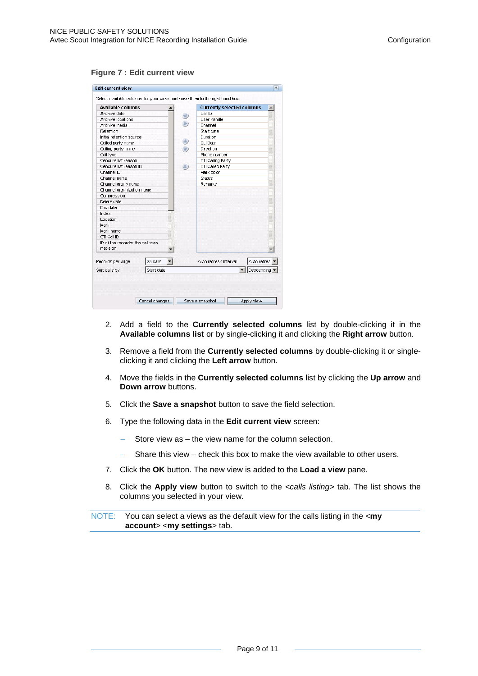#### <span id="page-12-0"></span>**Figure 7 : Edit current view**

| <b>Available columns</b>        |            |  |  | <b>Currently selected columns</b> |              |
|---------------------------------|------------|--|--|-----------------------------------|--------------|
| Archive date                    |            |  |  | Call ID                           |              |
| Archive Incations               |            |  |  | User handle                       |              |
| Archive media                   |            |  |  | Channel                           |              |
| Retention                       |            |  |  | Start date                        |              |
| Initial retention source        |            |  |  | <b>Duration</b>                   |              |
| Called party name               |            |  |  | CLI Data                          |              |
| Calling party name              |            |  |  | Direction                         |              |
| Call type                       |            |  |  | Phone number                      |              |
| Censure list reason             |            |  |  | CTI Calling Party                 |              |
| Censure list reason ID          |            |  |  | CTI Called Party                  |              |
| Channel ID                      |            |  |  | Mark color                        |              |
| Channel name                    |            |  |  | Status                            |              |
| Channel group name              |            |  |  | Remarks                           |              |
| Channel organization name       |            |  |  |                                   |              |
| Compression                     |            |  |  |                                   |              |
| Delete date                     |            |  |  |                                   |              |
| End date                        |            |  |  |                                   |              |
| Index                           |            |  |  |                                   |              |
| Location                        |            |  |  |                                   |              |
| Mark                            |            |  |  |                                   |              |
| Mark name                       |            |  |  |                                   |              |
| CTI Call ID                     |            |  |  |                                   |              |
| ID of the recorder the call was |            |  |  |                                   |              |
| made on                         |            |  |  |                                   |              |
|                                 |            |  |  |                                   |              |
| Records per page                | 25 calls   |  |  | Auto refresh interval             | Auto refresi |
| Sort calls by                   | Start date |  |  |                                   | Descending   |
|                                 |            |  |  |                                   |              |
|                                 |            |  |  |                                   |              |

- 2. Add a field to the **Currently selected columns** list by double-clicking it in the **Available columns list** or by single-clicking it and clicking the **Right arrow** button.
- 3. Remove a field from the **Currently selected columns** by double-clicking it or singleclicking it and clicking the **Left arrow** button.
- 4. Move the fields in the **Currently selected columns** list by clicking the **Up arrow** and **Down arrow** buttons.
- 5. Click the **Save a snapshot** button to save the field selection.
- 6. Type the following data in the **Edit current view** screen:
	- Store view as  $-$  the view name for the column selection.
	- Share this view check this box to make the view available to other users.
- 7. Click the **OK** button. The new view is added to the **Load a view** pane.
- 8. Click the **Apply view** button to switch to the *<calls listing>* tab. The list shows the columns you selected in your view.

NOTE: You can select a views as the default view for the calls listing in the <**my account**> <**my settings**> tab.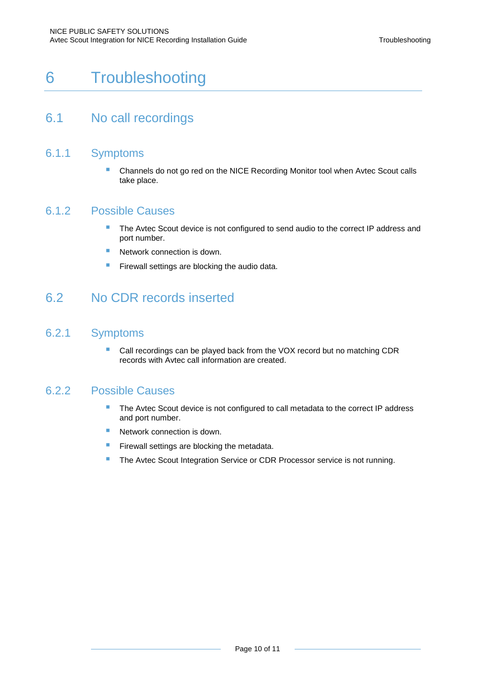## <span id="page-13-0"></span>6 Troubleshooting

### <span id="page-13-1"></span>6.1 No call recordings

- 6.1.1 Symptoms
	- Channels do not go red on the NICE Recording Monitor tool when Avtec Scout calls take place.

#### 6.1.2 Possible Causes

- The Avtec Scout device is not configured to send audio to the correct IP address and port number.
- Network connection is down.
- <span id="page-13-2"></span>**Firewall settings are blocking the audio data.**

### 6.2 No CDR records inserted

#### 6.2.1 Symptoms

 Call recordings can be played back from the VOX record but no matching CDR records with Avtec call information are created.

#### 6.2.2 Possible Causes

- The Avtec Scout device is not configured to call metadata to the correct IP address and port number.
- **Network connection is down.**
- **Firewall settings are blocking the metadata.**
- **The Avtec Scout Integration Service or CDR Processor service is not running.**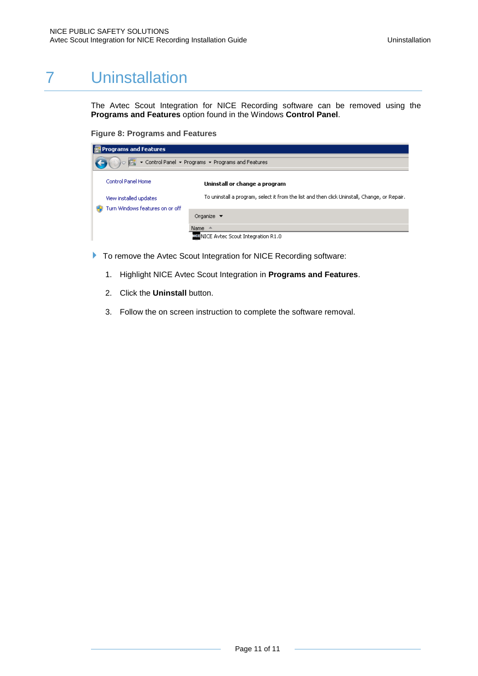## 7 Uninstallation

<span id="page-14-0"></span>The Avtec Scout Integration for NICE Recording software can be removed using the **Programs and Features** option found in the Windows **Control Panel**.

<span id="page-14-1"></span>**Figure 8: Programs and Features**

| <b>Programs and Features</b>                                                           |                                                                                                                               |  |  |  |  |
|----------------------------------------------------------------------------------------|-------------------------------------------------------------------------------------------------------------------------------|--|--|--|--|
| ▼ Control Panel ▼ Programs ▼ Programs and Features                                     |                                                                                                                               |  |  |  |  |
| <b>Control Panel Home</b><br>View installed updates<br>Turn Windows features on or off | Uninstall or change a program<br>To uninstall a program, select it from the list and then click Uninstall, Change, or Repair. |  |  |  |  |
|                                                                                        | Organize $\blacktriangledown$<br>Name $\triangleq$<br><b>WE NICE Avtec Scout Integration R1.0</b>                             |  |  |  |  |

- To remove the Avtec Scout Integration for NICE Recording software:
	- 1. Highlight NICE Avtec Scout Integration in **Programs and Features**.
	- 2. Click the **Uninstall** button.
	- 3. Follow the on screen instruction to complete the software removal.